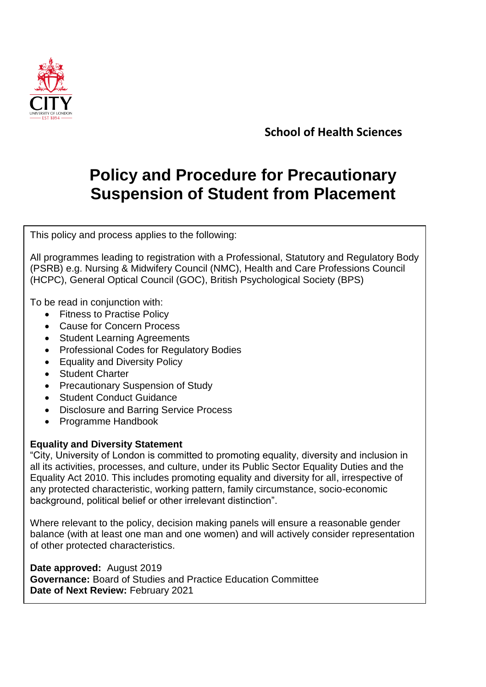

**School of Health Sciences**

# **Policy and Procedure for Precautionary Suspension of Student from Placement**

This policy and process applies to the following:

All programmes leading to registration with a Professional, Statutory and Regulatory Body (PSRB) e.g. Nursing & Midwifery Council (NMC), Health and Care Professions Council (HCPC), General Optical Council (GOC), British Psychological Society (BPS)

To be read in conjunction with:

- Fitness to Practise Policy
- Cause for Concern Process
- Student Learning Agreements
- Professional Codes for Regulatory Bodies
- Equality and Diversity Policy
- Student Charter
- Precautionary Suspension of Study
- Student Conduct Guidance
- Disclosure and Barring Service Process
- Programme Handbook

## **Equality and Diversity Statement**

"City, University of London is committed to promoting equality, diversity and inclusion in all its activities, processes, and culture, under its Public Sector Equality Duties and the Equality Act 2010. This includes promoting equality and diversity for all, irrespective of any protected characteristic, working pattern, family circumstance, socio-economic background, political belief or other irrelevant distinction".

Where relevant to the policy, decision making panels will ensure a reasonable gender balance (with at least one man and one women) and will actively consider representation of other protected characteristics.

**Date approved:** August 2019 **Governance:** Board of Studies and Practice Education Committee **Date of Next Review:** February 2021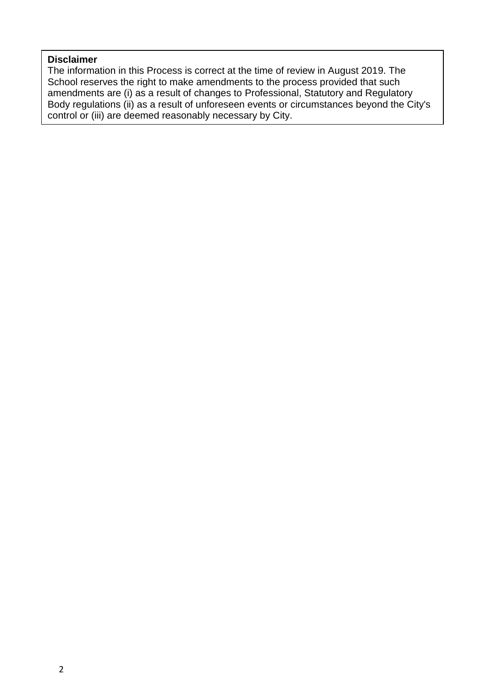#### **Disclaimer**

The information in this Process is correct at the time of review in August 2019. The School reserves the right to make amendments to the process provided that such amendments are (i) as a result of changes to Professional, Statutory and Regulatory Body regulations (ii) as a result of unforeseen events or circumstances beyond the City's control or (iii) are deemed reasonably necessary by City.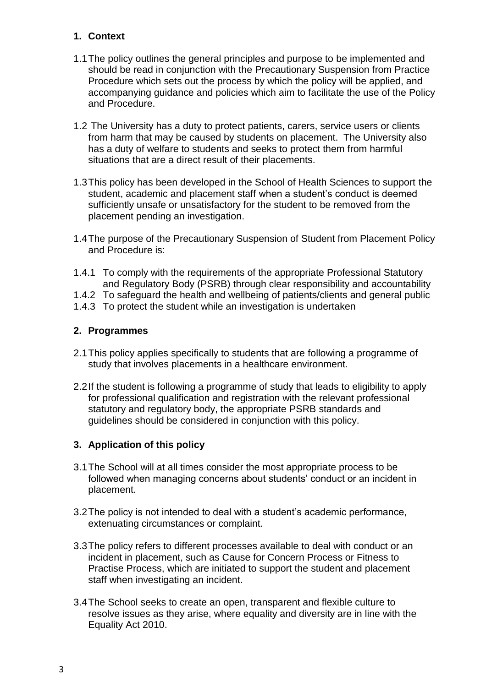## **1. Context**

- 1.1The policy outlines the general principles and purpose to be implemented and should be read in conjunction with the Precautionary Suspension from Practice Procedure which sets out the process by which the policy will be applied, and accompanying guidance and policies which aim to facilitate the use of the Policy and Procedure.
- 1.2 The University has a duty to protect patients, carers, service users or clients from harm that may be caused by students on placement. The University also has a duty of welfare to students and seeks to protect them from harmful situations that are a direct result of their placements.
- 1.3This policy has been developed in the School of Health Sciences to support the student, academic and placement staff when a student's conduct is deemed sufficiently unsafe or unsatisfactory for the student to be removed from the placement pending an investigation.
- 1.4The purpose of the Precautionary Suspension of Student from Placement Policy and Procedure is:
- 1.4.1 To comply with the requirements of the appropriate Professional Statutory and Regulatory Body (PSRB) through clear responsibility and accountability
- 1.4.2 To safeguard the health and wellbeing of patients/clients and general public
- 1.4.3 To protect the student while an investigation is undertaken

#### **2. Programmes**

- 2.1This policy applies specifically to students that are following a programme of study that involves placements in a healthcare environment.
- 2.2If the student is following a programme of study that leads to eligibility to apply for professional qualification and registration with the relevant professional statutory and regulatory body, the appropriate PSRB standards and guidelines should be considered in conjunction with this policy.

## **3. Application of this policy**

- 3.1The School will at all times consider the most appropriate process to be followed when managing concerns about students' conduct or an incident in placement.
- 3.2The policy is not intended to deal with a student's academic performance, extenuating circumstances or complaint.
- 3.3The policy refers to different processes available to deal with conduct or an incident in placement, such as Cause for Concern Process or Fitness to Practise Process, which are initiated to support the student and placement staff when investigating an incident.
- 3.4The School seeks to create an open, transparent and flexible culture to resolve issues as they arise, where equality and diversity are in line with the Equality Act 2010.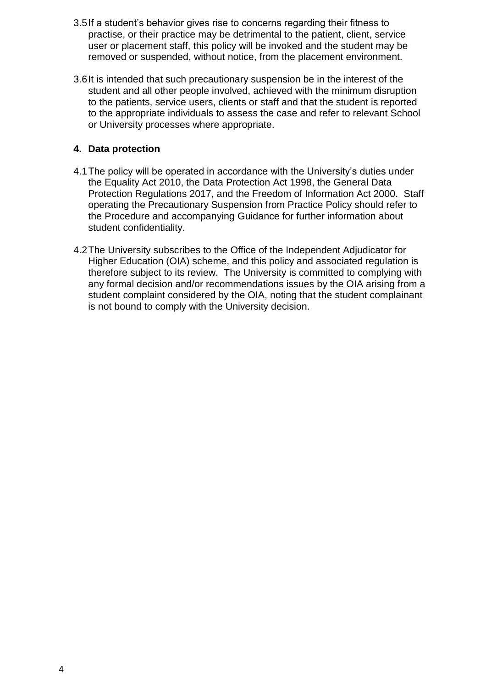- 3.5If a student's behavior gives rise to concerns regarding their fitness to practise, or their practice may be detrimental to the patient, client, service user or placement staff, this policy will be invoked and the student may be removed or suspended, without notice, from the placement environment.
- 3.6It is intended that such precautionary suspension be in the interest of the student and all other people involved, achieved with the minimum disruption to the patients, service users, clients or staff and that the student is reported to the appropriate individuals to assess the case and refer to relevant School or University processes where appropriate.

## **4. Data protection**

- 4.1The policy will be operated in accordance with the University's duties under the Equality Act 2010, the Data Protection Act 1998, the General Data Protection Regulations 2017, and the Freedom of Information Act 2000. Staff operating the Precautionary Suspension from Practice Policy should refer to the Procedure and accompanying Guidance for further information about student confidentiality.
- 4.2The University subscribes to the Office of the Independent Adjudicator for Higher Education (OIA) scheme, and this policy and associated regulation is therefore subject to its review. The University is committed to complying with any formal decision and/or recommendations issues by the OIA arising from a student complaint considered by the OIA, noting that the student complainant is not bound to comply with the University decision.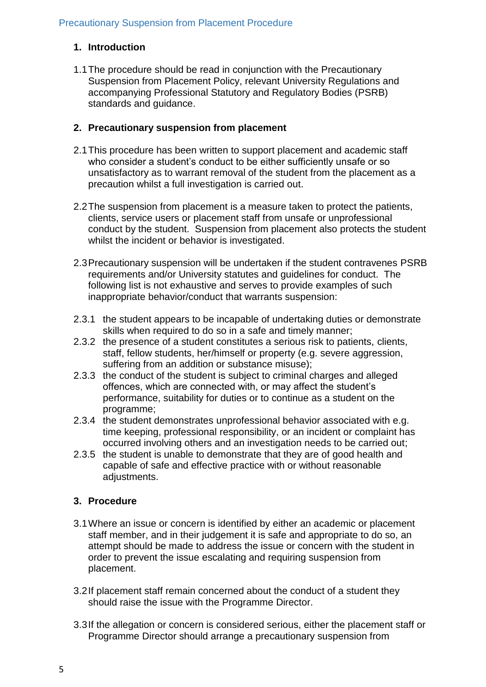## **1. Introduction**

1.1The procedure should be read in conjunction with the Precautionary Suspension from Placement Policy, relevant University Regulations and accompanying Professional Statutory and Regulatory Bodies (PSRB) standards and guidance.

## **2. Precautionary suspension from placement**

- 2.1This procedure has been written to support placement and academic staff who consider a student's conduct to be either sufficiently unsafe or so unsatisfactory as to warrant removal of the student from the placement as a precaution whilst a full investigation is carried out.
- 2.2The suspension from placement is a measure taken to protect the patients, clients, service users or placement staff from unsafe or unprofessional conduct by the student. Suspension from placement also protects the student whilst the incident or behavior is investigated.
- 2.3Precautionary suspension will be undertaken if the student contravenes PSRB requirements and/or University statutes and guidelines for conduct. The following list is not exhaustive and serves to provide examples of such inappropriate behavior/conduct that warrants suspension:
- 2.3.1 the student appears to be incapable of undertaking duties or demonstrate skills when required to do so in a safe and timely manner;
- 2.3.2 the presence of a student constitutes a serious risk to patients, clients, staff, fellow students, her/himself or property (e.g. severe aggression, suffering from an addition or substance misuse);
- 2.3.3 the conduct of the student is subject to criminal charges and alleged offences, which are connected with, or may affect the student's performance, suitability for duties or to continue as a student on the programme;
- 2.3.4 the student demonstrates unprofessional behavior associated with e.g. time keeping, professional responsibility, or an incident or complaint has occurred involving others and an investigation needs to be carried out;
- 2.3.5 the student is unable to demonstrate that they are of good health and capable of safe and effective practice with or without reasonable adjustments.

# **3. Procedure**

- 3.1Where an issue or concern is identified by either an academic or placement staff member, and in their judgement it is safe and appropriate to do so, an attempt should be made to address the issue or concern with the student in order to prevent the issue escalating and requiring suspension from placement.
- 3.2If placement staff remain concerned about the conduct of a student they should raise the issue with the Programme Director.
- 3.3If the allegation or concern is considered serious, either the placement staff or Programme Director should arrange a precautionary suspension from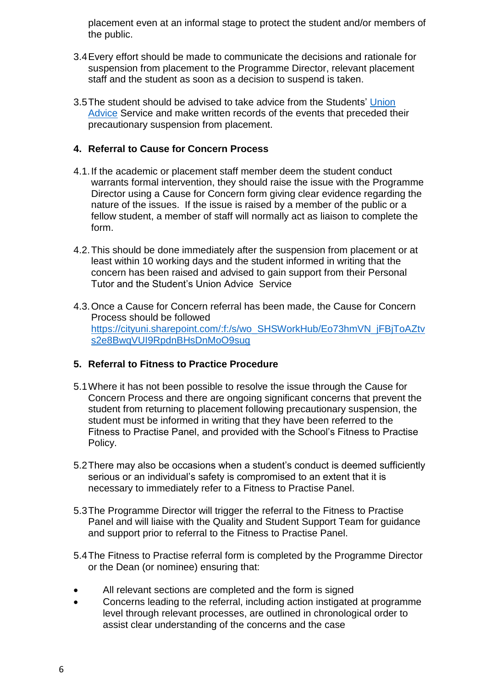placement even at an informal stage to protect the student and/or members of the public.

- 3.4Every effort should be made to communicate the decisions and rationale for suspension from placement to the Programme Director, relevant placement staff and the student as soon as a decision to suspend is taken.
- 3.5The student should be advised to take advice from the Students' [Union](https://www.culsu.co.uk/advice/)  [Advice](https://www.culsu.co.uk/advice/) Service and make written records of the events that preceded their precautionary suspension from placement.

## **4. Referral to Cause for Concern Process**

- 4.1.If the academic or placement staff member deem the student conduct warrants formal intervention, they should raise the issue with the Programme Director using a Cause for Concern form giving clear evidence regarding the nature of the issues. If the issue is raised by a member of the public or a fellow student, a member of staff will normally act as liaison to complete the form.
- 4.2.This should be done immediately after the suspension from placement or at least within 10 working days and the student informed in writing that the concern has been raised and advised to gain support from their Personal Tutor and the Student's Union Advice Service
- 4.3.Once a Cause for Concern referral has been made, the Cause for Concern Process should be followed [https://cityuni.sharepoint.com/:f:/s/wo\\_SHSWorkHub/Eo73hmVN\\_jFBjToAZtv](https://cityuni.sharepoint.com/:f:/s/wo_SHSWorkHub/Eo73hmVN_jFBjToAZtvs2e8BwqVUI9RpdnBHsDnMoO9sug) [s2e8BwqVUI9RpdnBHsDnMoO9sug](https://cityuni.sharepoint.com/:f:/s/wo_SHSWorkHub/Eo73hmVN_jFBjToAZtvs2e8BwqVUI9RpdnBHsDnMoO9sug)

## **5. Referral to Fitness to Practice Procedure**

- 5.1Where it has not been possible to resolve the issue through the Cause for Concern Process and there are ongoing significant concerns that prevent the student from returning to placement following precautionary suspension, the student must be informed in writing that they have been referred to the Fitness to Practise Panel, and provided with the School's Fitness to Practise Policy.
- 5.2There may also be occasions when a student's conduct is deemed sufficiently serious or an individual's safety is compromised to an extent that it is necessary to immediately refer to a Fitness to Practise Panel.
- 5.3The Programme Director will trigger the referral to the Fitness to Practise Panel and will liaise with the Quality and Student Support Team for guidance and support prior to referral to the Fitness to Practise Panel.
- 5.4The Fitness to Practise referral form is completed by the Programme Director or the Dean (or nominee) ensuring that:
- All relevant sections are completed and the form is signed
- Concerns leading to the referral, including action instigated at programme level through relevant processes, are outlined in chronological order to assist clear understanding of the concerns and the case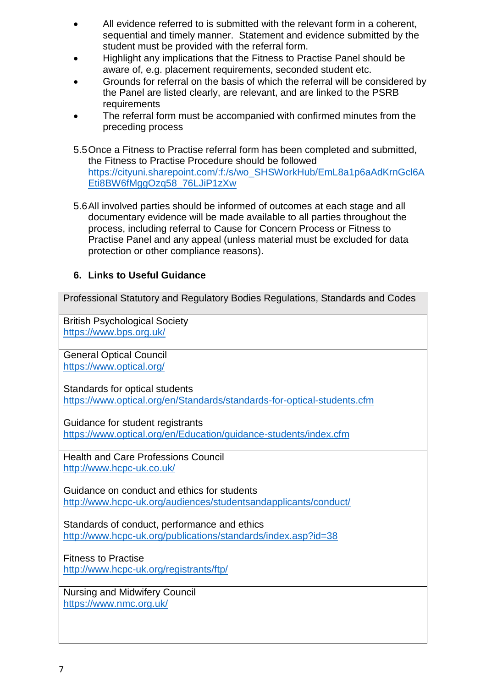- All evidence referred to is submitted with the relevant form in a coherent, sequential and timely manner. Statement and evidence submitted by the student must be provided with the referral form.
- Highlight any implications that the Fitness to Practise Panel should be aware of, e.g. placement requirements, seconded student etc.
- Grounds for referral on the basis of which the referral will be considered by the Panel are listed clearly, are relevant, and are linked to the PSRB requirements
- The referral form must be accompanied with confirmed minutes from the preceding process
- 5.5Once a Fitness to Practise referral form has been completed and submitted, the Fitness to Practise Procedure should be followed [https://cityuni.sharepoint.com/:f:/s/wo\\_SHSWorkHub/EmL8a1p6aAdKrnGcl6A](https://cityuni.sharepoint.com/:f:/s/wo_SHSWorkHub/EmL8a1p6aAdKrnGcl6AEti8BW6fMggOzq58_76LJiP1zXw) [Eti8BW6fMggOzq58\\_76LJiP1zXw](https://cityuni.sharepoint.com/:f:/s/wo_SHSWorkHub/EmL8a1p6aAdKrnGcl6AEti8BW6fMggOzq58_76LJiP1zXw)
- 5.6All involved parties should be informed of outcomes at each stage and all documentary evidence will be made available to all parties throughout the process, including referral to Cause for Concern Process or Fitness to Practise Panel and any appeal (unless material must be excluded for data protection or other compliance reasons).

#### **6. Links to Useful Guidance**

Professional Statutory and Regulatory Bodies Regulations, Standards and Codes

British Psychological Society <https://www.bps.org.uk/>

General Optical Council <https://www.optical.org/>

Standards for optical students <https://www.optical.org/en/Standards/standards-for-optical-students.cfm>

Guidance for student registrants

<https://www.optical.org/en/Education/guidance-students/index.cfm>

Health and Care Professions Council <http://www.hcpc-uk.co.uk/>

Guidance on conduct and ethics for students <http://www.hcpc-uk.org/audiences/studentsandapplicants/conduct/>

Standards of conduct, performance and ethics <http://www.hcpc-uk.org/publications/standards/index.asp?id=38>

Fitness to Practise

<http://www.hcpc-uk.org/registrants/ftp/>

Nursing and Midwifery Council <https://www.nmc.org.uk/>